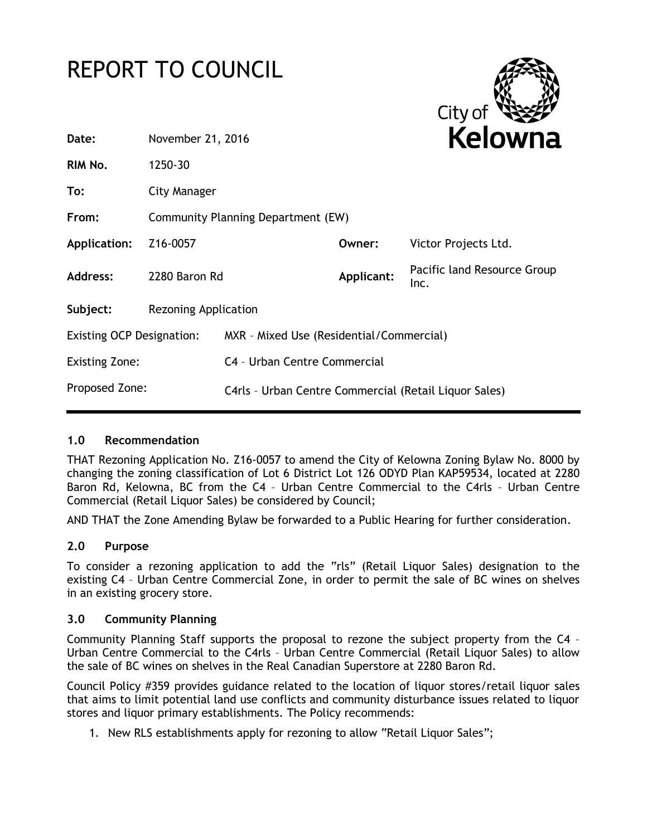# REPORT TO COUNCIL



| Date:                            | November 21, 2016                  |                                                       | Kelowna    |                                     |
|----------------------------------|------------------------------------|-------------------------------------------------------|------------|-------------------------------------|
| RIM No.                          | 1250-30                            |                                                       |            |                                     |
| To:                              | City Manager                       |                                                       |            |                                     |
| From:                            | Community Planning Department (EW) |                                                       |            |                                     |
| Application:                     | Z16-0057                           |                                                       | Owner:     | Victor Projects Ltd.                |
| <b>Address:</b>                  | 2280 Baron Rd                      |                                                       | Applicant: | Pacific land Resource Group<br>Inc. |
| Subject:                         | Rezoning Application               |                                                       |            |                                     |
| <b>Existing OCP Designation:</b> |                                    | MXR - Mixed Use (Residential/Commercial)              |            |                                     |
| <b>Existing Zone:</b>            |                                    | C4 - Urban Centre Commercial                          |            |                                     |
| Proposed Zone:                   |                                    | C4rls - Urban Centre Commercial (Retail Liquor Sales) |            |                                     |

## **1.0 Recommendation**

THAT Rezoning Application No. Z16-0057 to amend the City of Kelowna Zoning Bylaw No. 8000 by changing the zoning classification of Lot 6 District Lot 126 ODYD Plan KAP59534, located at 2280 Baron Rd, Kelowna, BC from the C4 – Urban Centre Commercial to the C4rls – Urban Centre Commercial (Retail Liquor Sales) be considered by Council;

AND THAT the Zone Amending Bylaw be forwarded to a Public Hearing for further consideration.

## **2.0 Purpose**

To consider a rezoning application to add the "rls" (Retail Liquor Sales) designation to the existing C4 – Urban Centre Commercial Zone, in order to permit the sale of BC wines on shelves in an existing grocery store.

## **3.0 Community Planning**

Community Planning Staff supports the proposal to rezone the subject property from the C4 – Urban Centre Commercial to the C4rls – Urban Centre Commercial (Retail Liquor Sales) to allow the sale of BC wines on shelves in the Real Canadian Superstore at 2280 Baron Rd.

Council Policy #359 provides guidance related to the location of liquor stores/retail liquor sales that aims to limit potential land use conflicts and community disturbance issues related to liquor stores and liquor primary establishments. The Policy recommends:

1. New RLS establishments apply for rezoning to allow "Retail Liquor Sales";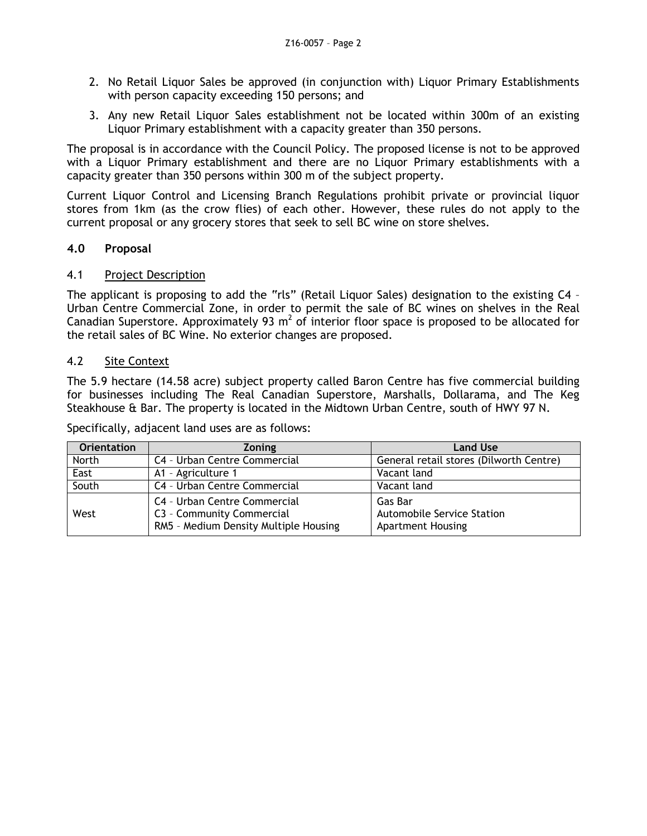- 2. No Retail Liquor Sales be approved (in conjunction with) Liquor Primary Establishments with person capacity exceeding 150 persons; and
- 3. Any new Retail Liquor Sales establishment not be located within 300m of an existing Liquor Primary establishment with a capacity greater than 350 persons.

The proposal is in accordance with the Council Policy. The proposed license is not to be approved with a Liquor Primary establishment and there are no Liquor Primary establishments with a capacity greater than 350 persons within 300 m of the subject property.

Current Liquor Control and Licensing Branch Regulations prohibit private or provincial liquor stores from 1km (as the crow flies) of each other. However, these rules do not apply to the current proposal or any grocery stores that seek to sell BC wine on store shelves.

## **4.0 Proposal**

## 4.1 Project Description

The applicant is proposing to add the "rls" (Retail Liquor Sales) designation to the existing C4 – Urban Centre Commercial Zone, in order to permit the sale of BC wines on shelves in the Real Canadian Superstore. Approximately 93  $m^2$  of interior floor space is proposed to be allocated for the retail sales of BC Wine. No exterior changes are proposed.

## 4.2 Site Context

The 5.9 hectare (14.58 acre) subject property called Baron Centre has five commercial building for businesses including The Real Canadian Superstore, Marshalls, Dollarama, and The Keg Steakhouse & Bar. The property is located in the Midtown Urban Centre, south of HWY 97 N.

Specifically, adjacent land uses are as follows:

| <b>Orientation</b> | <b>Zoning</b>                                                                                      | <b>Land Use</b>                                                   |
|--------------------|----------------------------------------------------------------------------------------------------|-------------------------------------------------------------------|
| North              | C4 - Urban Centre Commercial                                                                       | General retail stores (Dilworth Centre)                           |
| East               | A1 - Agriculture 1                                                                                 | Vacant land                                                       |
| South              | C4 - Urban Centre Commercial                                                                       | Vacant land                                                       |
| West               | C4 - Urban Centre Commercial<br>C3 - Community Commercial<br>RM5 - Medium Density Multiple Housing | Gas Bar<br>Automobile Service Station<br><b>Apartment Housing</b> |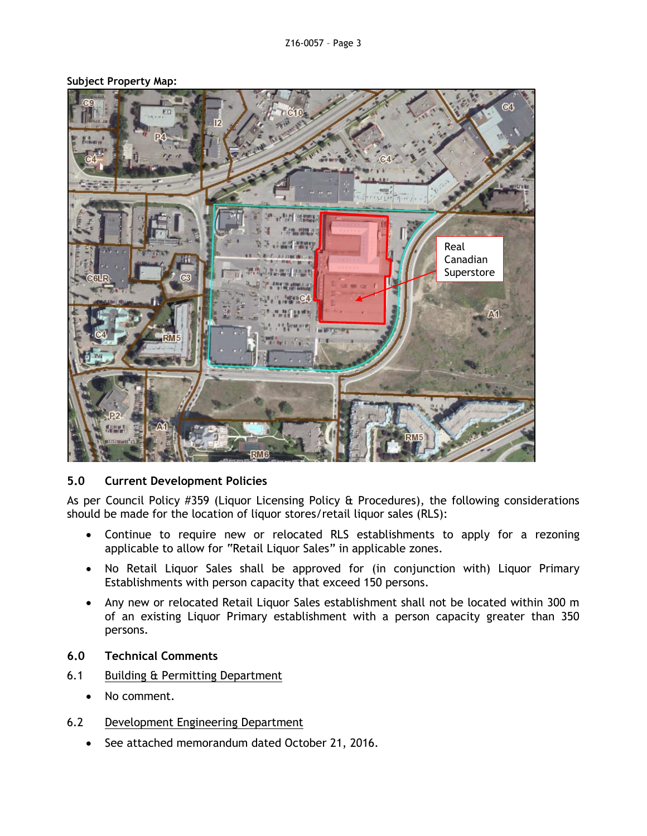

#### **Subject Property Map:**

## **5.0 Current Development Policies**

As per Council Policy #359 (Liquor Licensing Policy & Procedures), the following considerations should be made for the location of liquor stores/retail liquor sales (RLS):

- Continue to require new or relocated RLS establishments to apply for a rezoning applicable to allow for "Retail Liquor Sales" in applicable zones.
- No Retail Liquor Sales shall be approved for (in conjunction with) Liquor Primary Establishments with person capacity that exceed 150 persons.
- Any new or relocated Retail Liquor Sales establishment shall not be located within 300 m of an existing Liquor Primary establishment with a person capacity greater than 350 persons.
- **6.0 Technical Comments**
- 6.1 Building & Permitting Department
	- No comment.
- 6.2 Development Engineering Department
	- See attached memorandum dated October 21, 2016.